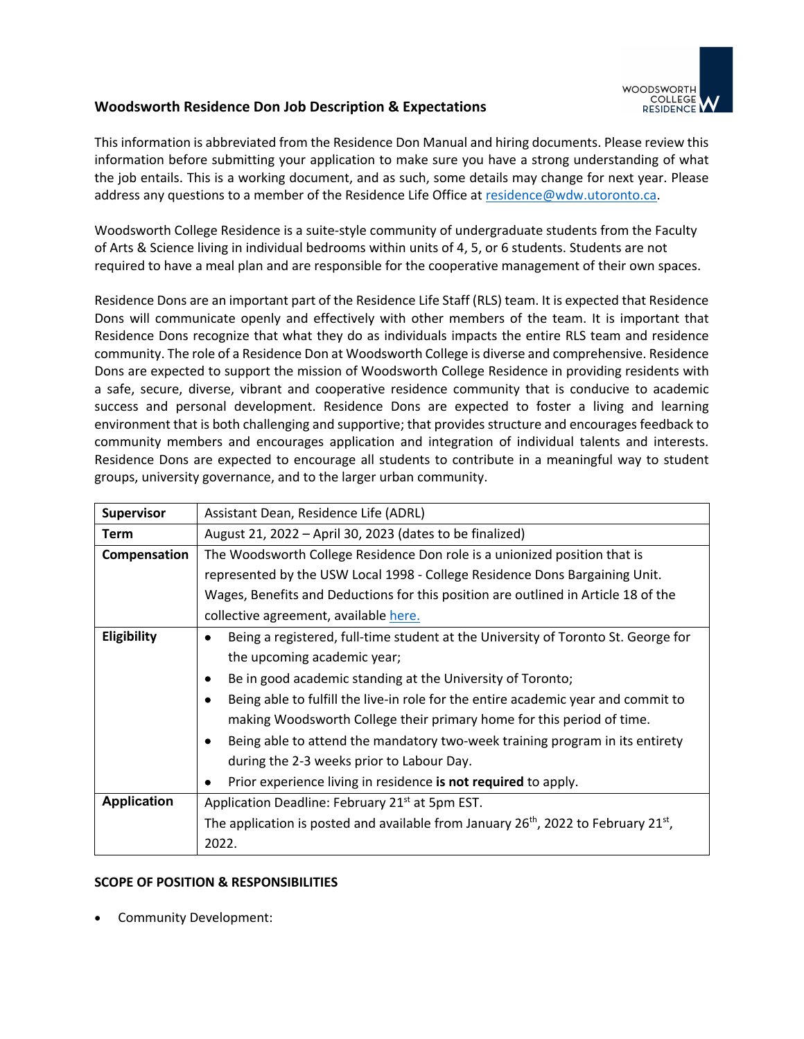

## **Woodsworth Residence Don Job Description & Expectations**

This information is abbreviated from the Residence Don Manual and hiring documents. Please review this information before submitting your application to make sure you have a strong understanding of what the job entails. This is a working document, and as such, some details may change for next year. Please address any questions to a member of the Residence Life Office at residence@wdw.utoronto.ca.

Woodsworth College Residence is a suite-style community of undergraduate students from the Faculty of Arts & Science living in individual bedrooms within units of 4, 5, or 6 students. Students are not required to have a meal plan and are responsible for the cooperative management of their own spaces.

Residence Dons are an important part of the Residence Life Staff (RLS) team. It is expected that Residence Dons will communicate openly and effectively with other members of the team. It is important that Residence Dons recognize that what they do as individuals impacts the entire RLS team and residence community. The role of a Residence Don at Woodsworth College is diverse and comprehensive. Residence Dons are expected to support the mission of Woodsworth College Residence in providing residents with a safe, secure, diverse, vibrant and cooperative residence community that is conducive to academic success and personal development. Residence Dons are expected to foster a living and learning environment that is both challenging and supportive; that provides structure and encourages feedback to community members and encourages application and integration of individual talents and interests. Residence Dons are expected to encourage all students to contribute in a meaningful way to student groups, university governance, and to the larger urban community.

| Supervisor         | Assistant Dean, Residence Life (ADRL)                                                                       |
|--------------------|-------------------------------------------------------------------------------------------------------------|
| <b>Term</b>        | August 21, 2022 – April 30, 2023 (dates to be finalized)                                                    |
| Compensation       | The Woodsworth College Residence Don role is a unionized position that is                                   |
|                    | represented by the USW Local 1998 - College Residence Dons Bargaining Unit.                                 |
|                    | Wages, Benefits and Deductions for this position are outlined in Article 18 of the                          |
|                    | collective agreement, available here.                                                                       |
| Eligibility        | Being a registered, full-time student at the University of Toronto St. George for                           |
|                    | the upcoming academic year;                                                                                 |
|                    | Be in good academic standing at the University of Toronto;                                                  |
|                    | Being able to fulfill the live-in role for the entire academic year and commit to                           |
|                    | making Woodsworth College their primary home for this period of time.                                       |
|                    | Being able to attend the mandatory two-week training program in its entirety                                |
|                    | during the 2-3 weeks prior to Labour Day.                                                                   |
|                    | Prior experience living in residence is not required to apply.                                              |
| <b>Application</b> | Application Deadline: February 21 <sup>st</sup> at 5pm EST.                                                 |
|                    | The application is posted and available from January 26 <sup>th</sup> , 2022 to February 21 <sup>st</sup> , |
|                    | 2022.                                                                                                       |

## **SCOPE OF POSITION & RESPONSIBILITIES**

• Community Development: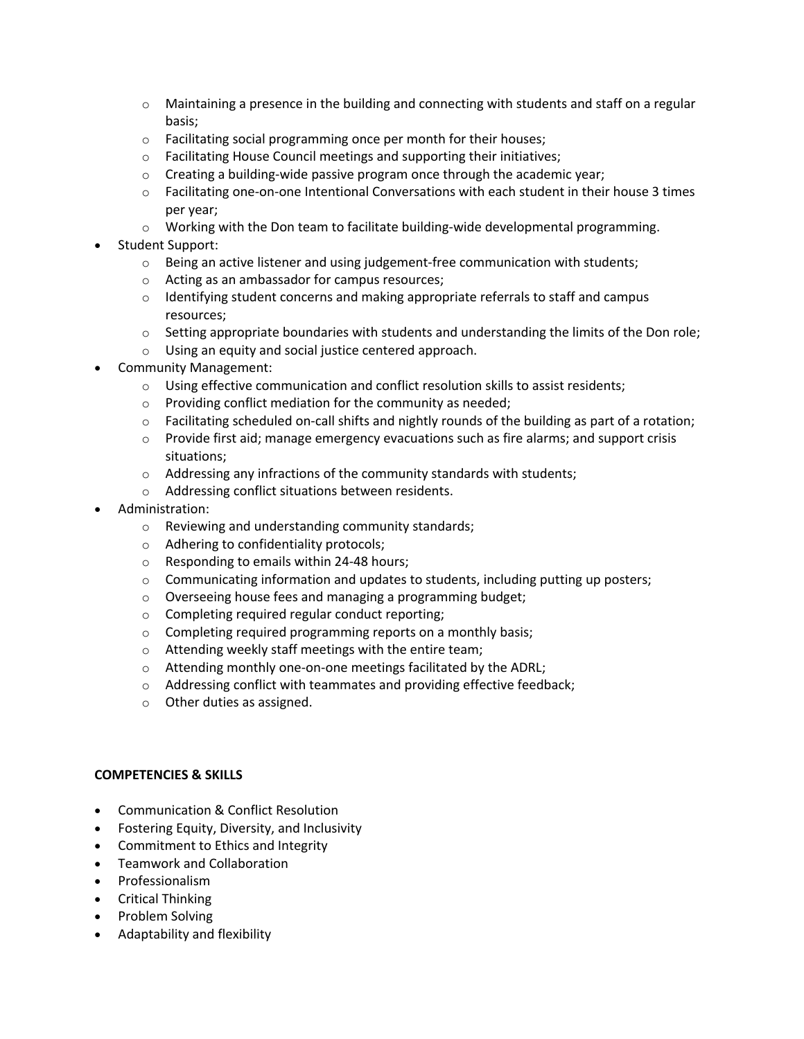- $\circ$  Maintaining a presence in the building and connecting with students and staff on a regular basis;
- o Facilitating social programming once per month for their houses;
- o Facilitating House Council meetings and supporting their initiatives;
- $\circ$  Creating a building-wide passive program once through the academic year;
- o Facilitating one-on-one Intentional Conversations with each student in their house 3 times per year;
- $\circ$  Working with the Don team to facilitate building-wide developmental programming.
- Student Support:
	- $\circ$  Being an active listener and using judgement-free communication with students;
	- o Acting as an ambassador for campus resources;
	- $\circ$  Identifying student concerns and making appropriate referrals to staff and campus resources;
	- $\circ$  Setting appropriate boundaries with students and understanding the limits of the Don role;
	- o Using an equity and social justice centered approach.
- Community Management:
	- $\circ$  Using effective communication and conflict resolution skills to assist residents;
	- o Providing conflict mediation for the community as needed;
	- $\circ$  Facilitating scheduled on-call shifts and nightly rounds of the building as part of a rotation;
	- $\circ$  Provide first aid; manage emergency evacuations such as fire alarms; and support crisis situations;
	- o Addressing any infractions of the community standards with students;
	- o Addressing conflict situations between residents.
- Administration:
	- o Reviewing and understanding community standards;
	- o Adhering to confidentiality protocols;
	- o Responding to emails within 24-48 hours;
	- $\circ$  Communicating information and updates to students, including putting up posters;
	- o Overseeing house fees and managing a programming budget;
	- o Completing required regular conduct reporting;
	- o Completing required programming reports on a monthly basis;
	- o Attending weekly staff meetings with the entire team;
	- o Attending monthly one-on-one meetings facilitated by the ADRL;
	- o Addressing conflict with teammates and providing effective feedback;
	- o Other duties as assigned.

## **COMPETENCIES & SKILLS**

- Communication & Conflict Resolution
- Fostering Equity, Diversity, and Inclusivity
- Commitment to Ethics and Integrity
- Teamwork and Collaboration
- Professionalism
- Critical Thinking
- Problem Solving
- Adaptability and flexibility